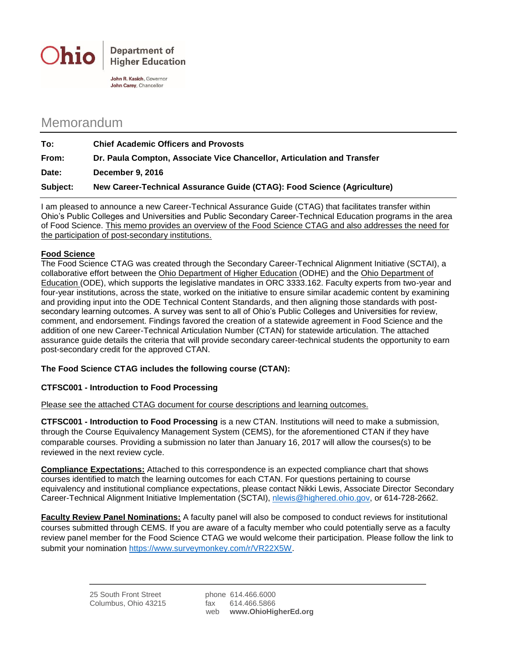

John R. Kasich, Governor John Carey, Chancellor

## Memorandum

| To:      | <b>Chief Academic Officers and Provosts</b>                             |
|----------|-------------------------------------------------------------------------|
| From:    | Dr. Paula Compton, Associate Vice Chancellor, Articulation and Transfer |
| Date:    | December 9, 2016                                                        |
| Subject: | New Career-Technical Assurance Guide (CTAG): Food Science (Agriculture) |

I am pleased to announce a new Career-Technical Assurance Guide (CTAG) that facilitates transfer within Ohio's Public Colleges and Universities and Public Secondary Career-Technical Education programs in the area of Food Science. This memo provides an overview of the Food Science CTAG and also addresses the need for the participation of post-secondary institutions.

## **Food Science**

The Food Science CTAG was created through the Secondary Career-Technical Alignment Initiative (SCTAI), a collaborative effort between the Ohio Department of Higher Education (ODHE) and the Ohio Department of Education (ODE), which supports the legislative mandates in ORC 3333.162. Faculty experts from two-year and four-year institutions, across the state, worked on the initiative to ensure similar academic content by examining and providing input into the ODE Technical Content Standards, and then aligning those standards with postsecondary learning outcomes. A survey was sent to all of Ohio's Public Colleges and Universities for review, comment, and endorsement. Findings favored the creation of a statewide agreement in Food Science and the addition of one new Career-Technical Articulation Number (CTAN) for statewide articulation. The attached assurance guide details the criteria that will provide secondary career-technical students the opportunity to earn post-secondary credit for the approved CTAN.

## **The Food Science CTAG includes the following course (CTAN):**

## **CTFSC001 - Introduction to Food Processing**

Please see the attached CTAG document for course descriptions and learning outcomes.

**CTFSC001 - Introduction to Food Processing** is a new CTAN. Institutions will need to make a submission, through the Course Equivalency Management System (CEMS), for the aforementioned CTAN if they have comparable courses. Providing a submission no later than January 16, 2017 will allow the courses(s) to be reviewed in the next review cycle.

**Compliance Expectations:** Attached to this correspondence is an expected compliance chart that shows courses identified to match the learning outcomes for each CTAN. For questions pertaining to course equivalency and institutional compliance expectations, please contact Nikki Lewis, Associate Director Secondary Career-Technical Alignment Initiative Implementation (SCTAI), [nlewis@highered.ohio.gov,](mailto:nlewis@highered.ohio.gov) or 614-728-2662.

**Faculty Review Panel Nominations:** A faculty panel will also be composed to conduct reviews for institutional courses submitted through CEMS. If you are aware of a faculty member who could potentially serve as a faculty review panel member for the Food Science CTAG we would welcome their participation. Please follow the link to submit your nomination [https://www.surveymonkey.com/r/VR22X5W.](https://www.surveymonkey.com/r/VR22X5W)